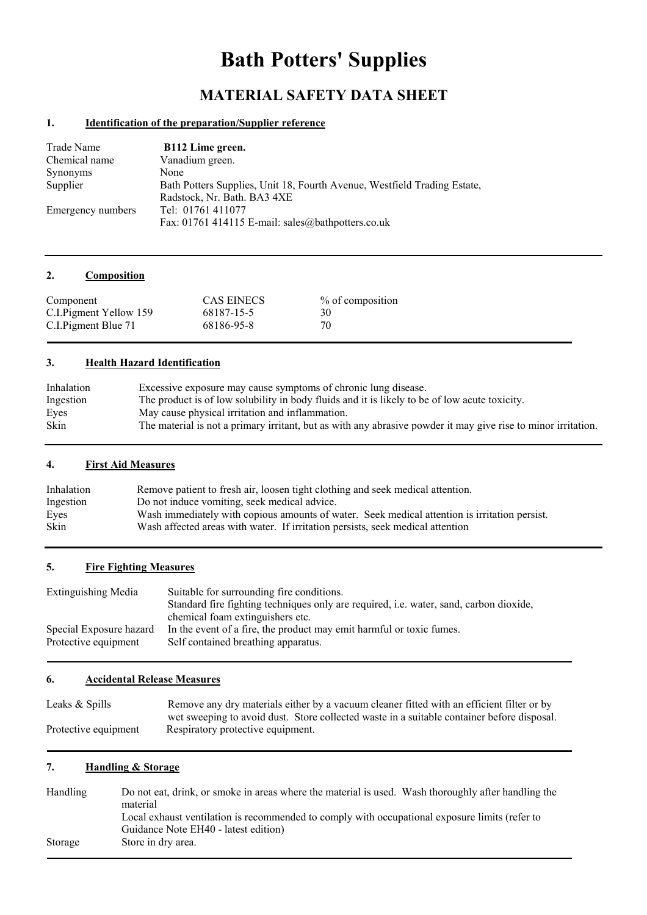# **Bath Potters' Supplies**

# **MATERIAL SAFETY DATA SHEET**

# **1. Identification of the preparation/Supplier reference**

| Trade Name        | B112 Lime green.                                                         |
|-------------------|--------------------------------------------------------------------------|
| Chemical name     | Vanadium green.                                                          |
| Synonyms          | None                                                                     |
| Supplier          | Bath Potters Supplies, Unit 18, Fourth Avenue, Westfield Trading Estate, |
|                   | Radstock, Nr. Bath. BA3 4XE                                              |
| Emergency numbers | Tel: 01761 411077                                                        |
|                   | Fax: 01761 414115 E-mail: sales@bathpotters.co.uk                        |

# **2. Composition**

| Component               | <b>CAS EINECS</b> | % of composition |
|-------------------------|-------------------|------------------|
| C.I. Pigment Yellow 159 | 68187-15-5        | 30               |
| C.I. Pigment Blue 71    | 68186-95-8        | 70               |

#### **3. Health Hazard Identification**

| Inhalation  | Excessive exposure may cause symptoms of chronic lung disease.                                                |
|-------------|---------------------------------------------------------------------------------------------------------------|
| Ingestion   | The product is of low solubility in body fluids and it is likely to be of low acute toxicity.                 |
| Eyes        | May cause physical irritation and inflammation.                                                               |
| <b>Skin</b> | The material is not a primary irritant, but as with any abrasive powder it may give rise to minor irritation. |

# **4. First Aid Measures**

| Inhalation  | Remove patient to fresh air, loosen tight clothing and seek medical attention.                |  |  |
|-------------|-----------------------------------------------------------------------------------------------|--|--|
| Ingestion   | Do not induce vomiting, seek medical advice.                                                  |  |  |
| Eyes        | Wash immediately with copious amounts of water. Seek medical attention is irritation persist. |  |  |
| <b>Skin</b> | Wash affected areas with water. If irritation persists, seek medical attention                |  |  |

#### **5. Fire Fighting Measures**

| Extinguishing Media     | Suitable for surrounding fire conditions.                                                     |
|-------------------------|-----------------------------------------------------------------------------------------------|
|                         | Standard fire fighting techniques only are required, <i>i.e.</i> water, sand, carbon dioxide, |
|                         | chemical foam extinguishers etc.                                                              |
| Special Exposure hazard | In the event of a fire, the product may emit harmful or toxic fumes.                          |
| Protective equipment    | Self contained breathing apparatus.                                                           |

# **6. Accidental Release Measures**

| Leaks & Spills       | Remove any dry materials either by a vacuum cleaner fitted with an efficient filter or by  |  |  |
|----------------------|--------------------------------------------------------------------------------------------|--|--|
|                      | wet sweeping to avoid dust. Store collected waste in a suitable container before disposal. |  |  |
| Protective equipment | Respiratory protective equipment.                                                          |  |  |

# **7. Handling & Storage**

| <b>Handling</b> | Do not eat, drink, or smoke in areas where the material is used. Wash thoroughly after handling the<br>material                        |
|-----------------|----------------------------------------------------------------------------------------------------------------------------------------|
|                 | Local exhaust ventilation is recommended to comply with occupational exposure limits (refer to<br>Guidance Note EH40 - latest edition) |
| Storage         | Store in dry area.                                                                                                                     |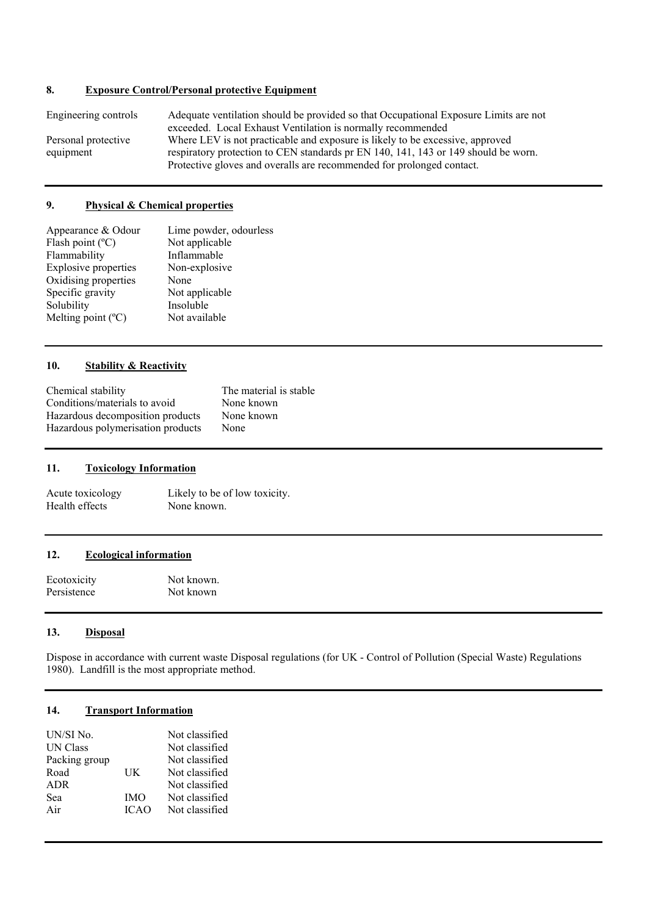# **8. Exposure Control/Personal protective Equipment**

| Engineering controls | Adequate ventilation should be provided so that Occupational Exposure Limits are not |  |
|----------------------|--------------------------------------------------------------------------------------|--|
|                      | exceeded. Local Exhaust Ventilation is normally recommended                          |  |
| Personal protective  | Where LEV is not practicable and exposure is likely to be excessive, approved        |  |
| equipment            | respiratory protection to CEN standards pr EN 140, 141, 143 or 149 should be worn.   |  |
|                      | Protective gloves and overalls are recommended for prolonged contact.                |  |

#### **9. Physical & Chemical properties**

| Appearance & Odour          | Lime powder, odourless |
|-----------------------------|------------------------|
| Flash point $(^{\circ}C)$   | Not applicable         |
| Flammability                | Inflammable            |
| Explosive properties        | Non-explosive          |
| Oxidising properties        | None                   |
| Specific gravity            | Not applicable         |
| Solubility                  | Insoluble              |
| Melting point $(^{\circ}C)$ | Not available          |

#### **10. Stability & Reactivity**

| Chemical stability                | The material is stable |
|-----------------------------------|------------------------|
| Conditions/materials to avoid     | None known             |
| Hazardous decomposition products  | None known             |
| Hazardous polymerisation products | None                   |

#### **11. Toxicology Information**

Acute toxicology Likely to be of low toxicity.<br>Health effects None known. Health effects

#### **12. Ecological information**

| Ecotoxicity | Not known. |
|-------------|------------|
| Persistence | Not known  |

#### **13. Disposal**

Dispose in accordance with current waste Disposal regulations (for UK - Control of Pollution (Special Waste) Regulations 1980). Landfill is the most appropriate method.

# **14. Transport Information**

| UN/SI No.       |             | Not classified |
|-----------------|-------------|----------------|
| <b>UN Class</b> |             | Not classified |
| Packing group   |             | Not classified |
| Road            | UК          | Not classified |
| <b>ADR</b>      |             | Not classified |
| Sea             | <b>IMO</b>  | Not classified |
| Air             | <b>ICAO</b> | Not classified |
|                 |             |                |